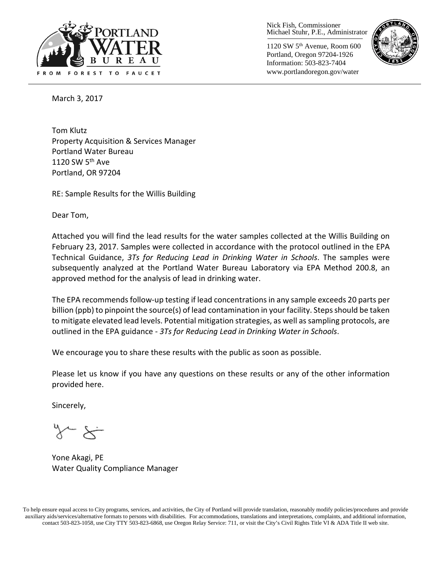

Nick Fish, Commissioner Michael Stuhr, P.E., Administrator

1120 SW 5th Avenue, Room 600 Portland, Oregon 97204-1926 Information: 503-823-7404 www.portlandoregon.gov/water



March 3, 2017

Tom Klutz Property Acquisition & Services Manager Portland Water Bureau 1120 SW  $5<sup>th</sup>$  Ave Portland, OR 97204

RE: Sample Results for the Willis Building

Dear Tom,

Attached you will find the lead results for the water samples collected at the Willis Building on February 23, 2017. Samples were collected in accordance with the protocol outlined in the EPA Technical Guidance, *3Ts for Reducing Lead in Drinking Water in Schools*. The samples were subsequently analyzed at the Portland Water Bureau Laboratory via EPA Method 200.8, an approved method for the analysis of lead in drinking water.

The EPA recommends follow-up testing if lead concentrations in any sample exceeds 20 parts per billion (ppb) to pinpoint the source(s) of lead contamination in your facility. Steps should be taken to mitigate elevated lead levels. Potential mitigation strategies, as well as sampling protocols, are outlined in the EPA guidance - *3Ts for Reducing Lead in Drinking Water in Schools*.

We encourage you to share these results with the public as soon as possible.

Please let us know if you have any questions on these results or any of the other information provided here.

Sincerely,

Yone Akagi, PE Water Quality Compliance Manager

To help ensure equal access to City programs, services, and activities, the City of Portland will provide translation, reasonably modify policies/procedures and provide auxiliary aids/services/alternative formats to persons with disabilities. For accommodations, translations and interpretations, complaints, and additional information, contact 503-823-1058, use City TTY 503-823-6868, use Oregon Relay Service: 711, or visi[t the City's Civil Rights Title VI & ADA Title II web site.](http://www.portlandoregon.gov/oehr/66458)